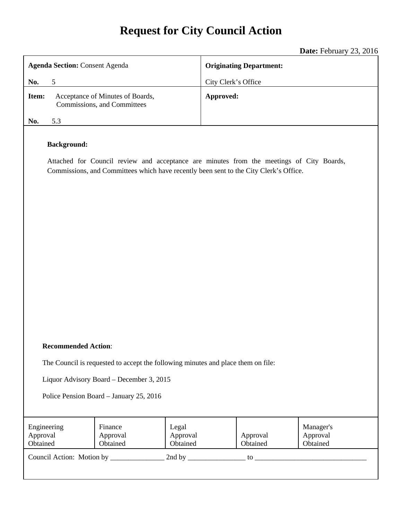# **Request for City Council Action**

|                                                                                                                                                                                                         | Date: February 23, 2016        |  |
|---------------------------------------------------------------------------------------------------------------------------------------------------------------------------------------------------------|--------------------------------|--|
| <b>Agenda Section: Consent Agenda</b>                                                                                                                                                                   | <b>Originating Department:</b> |  |
| No.<br>$\mathfrak{S}$                                                                                                                                                                                   | City Clerk's Office            |  |
| Acceptance of Minutes of Boards,<br>Item:<br>Commissions, and Committees                                                                                                                                | Approved:                      |  |
| 5.3<br>No.                                                                                                                                                                                              |                                |  |
| <b>Background:</b><br>Attached for Council review and acceptance are minutes from the meetings of City Boards,<br>Commissions, and Committees which have recently been sent to the City Clerk's Office. |                                |  |

#### **Recommended Action**:

The Council is requested to accept the following minutes and place them on file:

Liquor Advisory Board – December 3, 2015

Police Pension Board – January 25, 2016

| Engineering<br>Approval<br>Obtained | Finance<br>Approval<br>Obtained | Legal<br>Approval<br>Obtained | Approval<br>Obtained | Manager's<br>Approval<br>Obtained |
|-------------------------------------|---------------------------------|-------------------------------|----------------------|-----------------------------------|
| Council Action: Motion by           |                                 | 2nd by                        | to                   |                                   |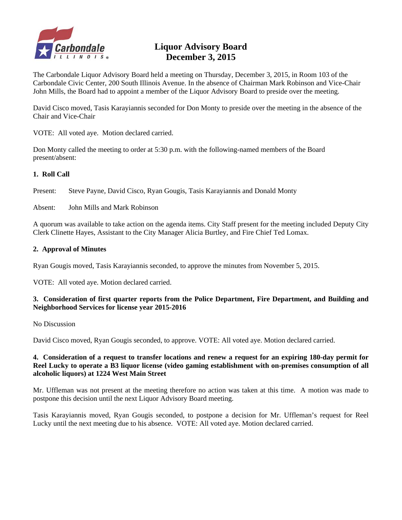

# **Liquor Advisory Board December 3, 2015**

The Carbondale Liquor Advisory Board held a meeting on Thursday, December 3, 2015, in Room 103 of the Carbondale Civic Center, 200 South Illinois Avenue. In the absence of Chairman Mark Robinson and Vice-Chair John Mills, the Board had to appoint a member of the Liquor Advisory Board to preside over the meeting.

David Cisco moved, Tasis Karayiannis seconded for Don Monty to preside over the meeting in the absence of the Chair and Vice-Chair

VOTE: All voted aye. Motion declared carried.

Don Monty called the meeting to order at 5:30 p.m. with the following-named members of the Board present/absent:

#### **1. Roll Call**

Present: Steve Payne, David Cisco, Ryan Gougis, Tasis Karayiannis and Donald Monty

Absent: John Mills and Mark Robinson

A quorum was available to take action on the agenda items. City Staff present for the meeting included Deputy City Clerk Clinette Hayes, Assistant to the City Manager Alicia Burtley, and Fire Chief Ted Lomax.

#### **2. Approval of Minutes**

Ryan Gougis moved, Tasis Karayiannis seconded, to approve the minutes from November 5, 2015.

VOTE: All voted aye. Motion declared carried.

#### **3. Consideration of first quarter reports from the Police Department, Fire Department, and Building and Neighborhood Services for license year 2015-2016**

No Discussion

David Cisco moved, Ryan Gougis seconded, to approve. VOTE: All voted aye. Motion declared carried.

#### **4. Consideration of a request to transfer locations and renew a request for an expiring 180-day permit for Reel Lucky to operate a B3 liquor license (video gaming establishment with on-premises consumption of all alcoholic liquors) at 1224 West Main Street**

Mr. Uffleman was not present at the meeting therefore no action was taken at this time. A motion was made to postpone this decision until the next Liquor Advisory Board meeting.

Tasis Karayiannis moved, Ryan Gougis seconded, to postpone a decision for Mr. Uffleman's request for Reel Lucky until the next meeting due to his absence. VOTE: All voted aye. Motion declared carried.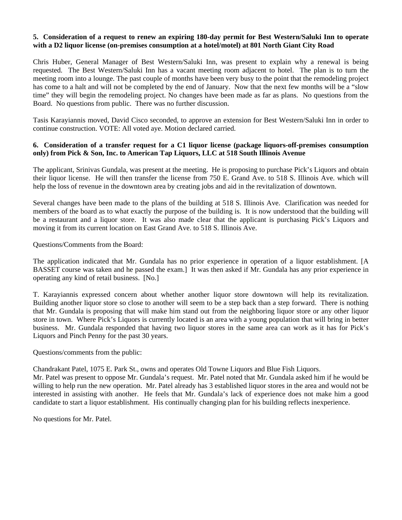#### **5. Consideration of a request to renew an expiring 180-day permit for Best Western/Saluki Inn to operate with a D2 liquor license (on-premises consumption at a hotel/motel) at 801 North Giant City Road**

Chris Huber, General Manager of Best Western/Saluki Inn, was present to explain why a renewal is being requested. The Best Western/Saluki Inn has a vacant meeting room adjacent to hotel. The plan is to turn the meeting room into a lounge. The past couple of months have been very busy to the point that the remodeling project has come to a halt and will not be completed by the end of January. Now that the next few months will be a "slow time" they will begin the remodeling project. No changes have been made as far as plans. No questions from the Board. No questions from public. There was no further discussion.

Tasis Karayiannis moved, David Cisco seconded, to approve an extension for Best Western/Saluki Inn in order to continue construction. VOTE: All voted aye. Motion declared carried.

#### **6. Consideration of a transfer request for a C1 liquor license (package liquors-off-premises consumption only) from Pick & Son, Inc. to American Tap Liquors, LLC at 518 South Illinois Avenue**

The applicant, Srinivas Gundala, was present at the meeting. He is proposing to purchase Pick's Liquors and obtain their liquor license. He will then transfer the license from 750 E. Grand Ave. to 518 S. Illinois Ave. which will help the loss of revenue in the downtown area by creating jobs and aid in the revitalization of downtown.

Several changes have been made to the plans of the building at 518 S. Illinois Ave. Clarification was needed for members of the board as to what exactly the purpose of the building is. It is now understood that the building will be a restaurant and a liquor store. It was also made clear that the applicant is purchasing Pick's Liquors and moving it from its current location on East Grand Ave. to 518 S. Illinois Ave.

Questions/Comments from the Board:

The application indicated that Mr. Gundala has no prior experience in operation of a liquor establishment. [A BASSET course was taken and he passed the exam.] It was then asked if Mr. Gundala has any prior experience in operating any kind of retail business. [No.]

T. Karayiannis expressed concern about whether another liquor store downtown will help its revitalization. Building another liquor store so close to another will seem to be a step back than a step forward. There is nothing that Mr. Gundala is proposing that will make him stand out from the neighboring liquor store or any other liquor store in town. Where Pick's Liquors is currently located is an area with a young population that will bring in better business. Mr. Gundala responded that having two liquor stores in the same area can work as it has for Pick's Liquors and Pinch Penny for the past 30 years.

Questions/comments from the public:

Chandrakant Patel, 1075 E. Park St., owns and operates Old Towne Liquors and Blue Fish Liquors.

Mr. Patel was present to oppose Mr. Gundala's request. Mr. Patel noted that Mr. Gundala asked him if he would be willing to help run the new operation. Mr. Patel already has 3 established liquor stores in the area and would not be interested in assisting with another. He feels that Mr. Gundala's lack of experience does not make him a good candidate to start a liquor establishment. His continually changing plan for his building reflects inexperience.

No questions for Mr. Patel.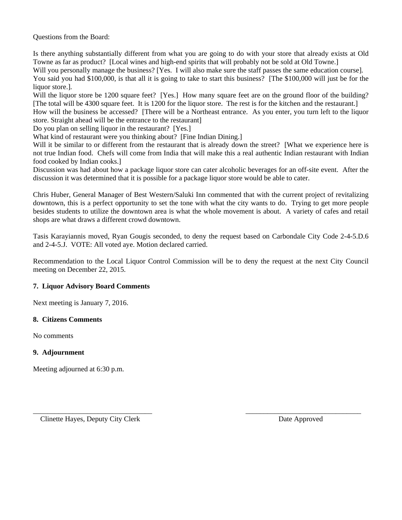Questions from the Board:

Is there anything substantially different from what you are going to do with your store that already exists at Old Towne as far as product? [Local wines and high-end spirits that will probably not be sold at Old Towne.] Will you personally manage the business? [Yes. I will also make sure the staff passes the same education course]. You said you had \$100,000, is that all it is going to take to start this business? [The \$100,000 will just be for the liquor store.].

Will the liquor store be 1200 square feet? [Yes.] How many square feet are on the ground floor of the building? [The total will be 4300 square feet. It is 1200 for the liquor store. The rest is for the kitchen and the restaurant.]

How will the business be accessed? [There will be a Northeast entrance. As you enter, you turn left to the liquor store. Straight ahead will be the entrance to the restaurant]

Do you plan on selling liquor in the restaurant? [Yes.]

What kind of restaurant were you thinking about? [Fine Indian Dining.]

Will it be similar to or different from the restaurant that is already down the street? [What we experience here is not true Indian food. Chefs will come from India that will make this a real authentic Indian restaurant with Indian food cooked by Indian cooks.]

Discussion was had about how a package liquor store can cater alcoholic beverages for an off-site event. After the discussion it was determined that it is possible for a package liquor store would be able to cater.

Chris Huber, General Manager of Best Western/Saluki Inn commented that with the current project of revitalizing downtown, this is a perfect opportunity to set the tone with what the city wants to do. Trying to get more people besides students to utilize the downtown area is what the whole movement is about. A variety of cafes and retail shops are what draws a different crowd downtown.

Tasis Karayiannis moved, Ryan Gougis seconded, to deny the request based on Carbondale City Code 2-4-5.D.6 and 2-4-5.J. VOTE: All voted aye. Motion declared carried.

Recommendation to the Local Liquor Control Commission will be to deny the request at the next City Council meeting on December 22, 2015.

\_\_\_\_\_\_\_\_\_\_\_\_\_\_\_\_\_\_\_\_\_\_\_\_\_\_\_\_\_\_\_\_\_ \_\_\_\_\_\_\_\_\_\_\_\_\_\_\_\_\_\_\_\_\_\_\_\_\_\_\_\_\_\_\_\_

# **7. Liquor Advisory Board Comments**

Next meeting is January 7, 2016.

#### **8. Citizens Comments**

No comments

# **9. Adjournment**

Meeting adjourned at 6:30 p.m.

Clinette Hayes, Deputy City Clerk **Date Approved**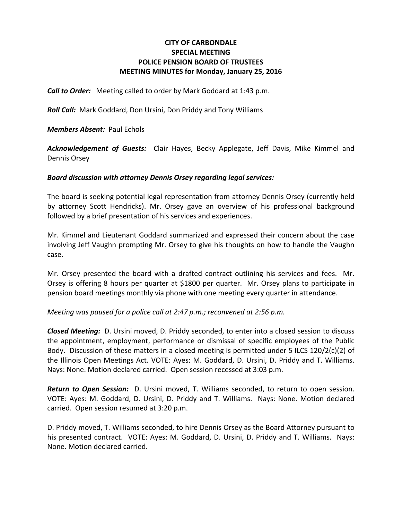# **CITY OF CARBONDALE SPECIAL MEETING POLICE PENSION BOARD OF TRUSTEES MEETING MINUTES for Monday, January 25, 2016**

*Call to Order:* Meeting called to order by Mark Goddard at 1:43 p.m.

*Roll Call:* Mark Goddard, Don Ursini, Don Priddy and Tony Williams

*Members Absent:* Paul Echols

*Acknowledgement of Guests:* Clair Hayes, Becky Applegate, Jeff Davis, Mike Kimmel and Dennis Orsey

#### *Board discussion with attorney Dennis Orsey regarding legal services:*

The board is seeking potential legal representation from attorney Dennis Orsey (currently held by attorney Scott Hendricks). Mr. Orsey gave an overview of his professional background followed by a brief presentation of his services and experiences.

Mr. Kimmel and Lieutenant Goddard summarized and expressed their concern about the case involving Jeff Vaughn prompting Mr. Orsey to give his thoughts on how to handle the Vaughn case.

Mr. Orsey presented the board with a drafted contract outlining his services and fees. Mr. Orsey is offering 8 hours per quarter at \$1800 per quarter. Mr. Orsey plans to participate in pension board meetings monthly via phone with one meeting every quarter in attendance.

# *Meeting was paused for a police call at 2:47 p.m.; reconvened at 2:56 p.m.*

*Closed Meeting:* D. Ursini moved, D. Priddy seconded, to enter into a closed session to discuss the appointment, employment, performance or dismissal of specific employees of the Public Body. Discussion of these matters in a closed meeting is permitted under 5 ILCS  $120/2(c)(2)$  of the Illinois Open Meetings Act. VOTE: Ayes: M. Goddard, D. Ursini, D. Priddy and T. Williams. Nays: None. Motion declared carried. Open session recessed at 3:03 p.m.

*Return to Open Session:* D. Ursini moved, T. Williams seconded, to return to open session. VOTE: Ayes: M. Goddard, D. Ursini, D. Priddy and T. Williams. Nays: None. Motion declared carried. Open session resumed at 3:20 p.m.

D. Priddy moved, T. Williams seconded, to hire Dennis Orsey as the Board Attorney pursuant to his presented contract. VOTE: Ayes: M. Goddard, D. Ursini, D. Priddy and T. Williams. Nays: None. Motion declared carried.